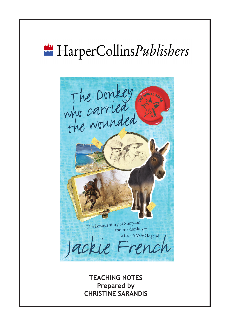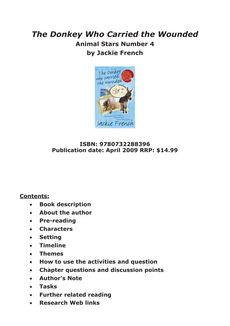# *The Donkey Who Carried the Wounded* **Animal Stars Number 4 by Jackie French**



#### **ISBN: 9780732288396 Publication date: April 2009 RRP: \$14.99**

#### **Contents:**

- **Book description**
- **About the author**
- **Pre-reading**
- **Characters**
- **Setting**
- **Timeline**
- **Themes**
- **How to use the activities and question**
- **Chapter questions and discussion points**
- **Author's Note**
- **Tasks**
- **Further related reading**
- **Research Web links**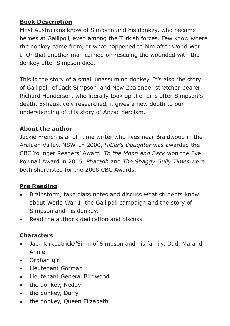#### **Book Description**

Most Australians know of Simpson and his donkey, who became heroes at Gallipoli, even among the Turkish forces. Few know where the donkey came from, or what happened to him after World War I. Or that another man carried on rescuing the wounded with the donkey after Simpson died.

This is the story of a small unassuming donkey. It's also the story of Gallipoli, of Jack Simpson, and New Zealander stretcher-bearer Richard Henderson, who literally took up the reins after Simpson's death. Exhaustively researched, it gives a new depth to our understanding of this story of Anzac heroism.

#### **About the author**

Jackie French is a full–time writer who lives near Braidwood in the Araluen Valley, NSW. In 2000, *Hitler's Daughter* was awarded the CBC Younger Readers' Award. *To the Moon and Back* won the Eve Pownall Award in 2005. *Pharaoh* and *The Shaggy Gully Times* were both shortlisted for the 2008 CBC Awards.

#### **Pre Reading**

- Brainstorm, take class notes and discuss what students know about World War 1, the Gallipoli campaign and the story of Simpson and his donkey.
- Read the author's dedication and discuss.

#### **Characters**

- Jack Kirkpatrick/'Simmo' Simpson and his family, Dad, Ma and Annie
- Orphan girl
- Lieutenant Gorman
- Lieutenant General Birdwood
- the donkey, Neddy
- the donkey, Duffy
- the donkey, Oueen Elizabeth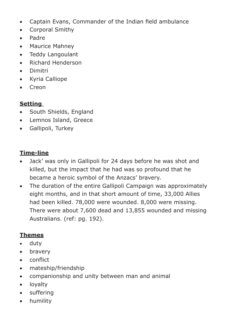- Captain Evans, Commander of the Indian field ambulance
- Corporal Smithy
- Padre
- Maurice Mahney
- Teddy Langoulant
- Richard Henderson
- Dimitri
- Kyria Calliope
- Creon

#### **Setting**

- South Shields, England
- Lemnos Island, Greece
- Gallipoli, Turkey

#### **Time-line**

- Jack' was only in Gallipoli for 24 days before he was shot and killed, but the impact that he had was so profound that he became a heroic symbol of the Anzacs' bravery.
- The duration of the entire Gallipoli Campaign was approximately eight months, and in that short amount of time, 33,000 Allies had been killed. 78,000 were wounded. 8,000 were missing. There were about 7,600 dead and 13,855 wounded and missing Australians. (ref: pg. 192).

## **Themes**

- duty
- bravery
- conflict
- mateship/friendship
- companionship and unity between man and animal
- loyalty
- suffering
- humility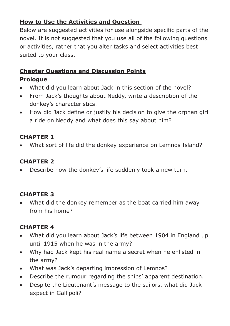## **How to Use the Activities and Question**

Below are suggested activities for use alongside specific parts of the novel. It is not suggested that you use all of the following questions or activities, rather that you alter tasks and select activities best suited to your class.

# **Chapter Questions and Discussion Points**

#### **Prologue**

- What did you learn about Jack in this section of the novel?
- From Jack's thoughts about Neddy, write a description of the donkey's characteristics.
- How did Jack define or justify his decision to give the orphan girl a ride on Neddy and what does this say about him?

## **CHAPTER 1**

• What sort of life did the donkey experience on Lemnos Island?

# **CHAPTER 2**

• Describe how the donkey's life suddenly took a new turn.

# **CHAPTER 3**

• What did the donkey remember as the boat carried him away from his home?

- What did you learn about Jack's life between 1904 in England up until 1915 when he was in the army?
- Why had Jack kept his real name a secret when he enlisted in the army?
- What was Jack's departing impression of Lemnos?
- Describe the rumour regarding the ships' apparent destination.
- Despite the Lieutenant's message to the sailors, what did Jack expect in Gallipoli?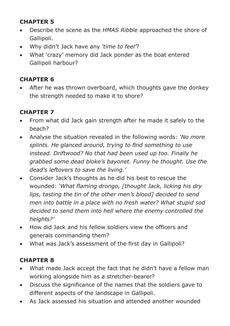- Describe the scene as the *HMAS Ribble* approached the shore of Gallipoli.
- Why didn't Jack have any *'time to feel'*?
- What 'crazy' memory did Jack ponder as the boat entered Gallipoli harbour?

## **CHAPTER 6**

After he was thrown overboard, which thoughts gave the donkey the strength needed to make it to shore?

## **CHAPTER 7**

- From what did Jack gain strength after he made it safely to the beach?
- Analyse the situation revealed in the following words: *'No more splints. He glanced around, trying to find something to use instead. Driftwood? No that had been used up too. Finally he grabbed some dead bloke's bayonet. Funny he thought. Use the dead's leftovers to save the living.'*
- Consider Jack's thoughts as he did his best to rescue the wounded: *'What flaming drongo, [thought Jack, licking his dry lips, tasting the tin of the other men's blood] decided to send men into battle in a place with no fresh water? What stupid sod decided to send them into hell where the enemy controlled the heights?'*
- How did Jack and his fellow soldiers view the officers and generals commanding them?
- What was Jack's assessment of the first day in Gallipoli?

- What made Jack accept the fact that he didn't have a fellow man working alongside him as a stretcher-bearer?
- Discuss the significance of the names that the soldiers gave to different aspects of the landscape in Gallipoli.
- As Jack assessed his situation and attended another wounded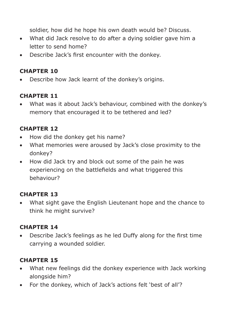soldier, how did he hope his own death would be? Discuss.

- What did Jack resolve to do after a dying soldier gave him a letter to send home?
- Describe Jack's first encounter with the donkey.

#### **CHAPTER 10**

• Describe how Jack learnt of the donkey's origins.

#### **CHAPTER 11**

• What was it about Jack's behaviour, combined with the donkey's memory that encouraged it to be tethered and led?

## **CHAPTER 12**

- How did the donkey get his name?
- What memories were aroused by Jack's close proximity to the donkey?
- How did Jack try and block out some of the pain he was experiencing on the battlefields and what triggered this behaviour?

## **CHAPTER 13**

• What sight gave the English Lieutenant hope and the chance to think he might survive?

## **CHAPTER 14**

• Describe Jack's feelings as he led Duffy along for the first time carrying a wounded soldier.

- What new feelings did the donkey experience with Jack working alongside him?
- For the donkey, which of Jack's actions felt 'best of all'?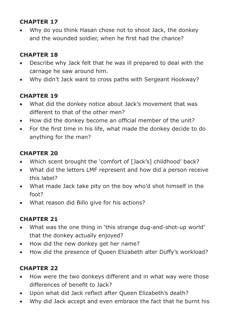• Why do you think Hasan chose not to shoot Jack, the donkey and the wounded soldier, when he first had the chance?

## **CHAPTER 18**

- Describe why Jack felt that he was ill prepared to deal with the carnage he saw around him.
- Why didn't Jack want to cross paths with Sergeant Hookway?

## **CHAPTER 19**

- What did the donkey notice about Jack's movement that was different to that of the other men?
- How did the donkey become an official member of the unit?
- For the first time in his life, what made the donkey decide to do anything for the man?

#### **CHAPTER 20**

- Which scent brought the 'comfort of [Jack's] childhood' back?
- What did the letters LMF represent and how did a person receive this label?
- What made Jack take pity on the boy who'd shot himself in the foot?
- What reason did Billo give for his actions?

## **CHAPTER 21**

- What was the one thing in 'this strange dug-and-shot-up world' that the donkey actually enjoyed?
- How did the new donkey get her name?
- How did the presence of Queen Elizabeth alter Duffy's workload?

- How were the two donkeys different and in what way were those differences of benefit to Jack?
- Upon what did Jack reflect after Queen Elizabeth's death?
- Why did Jack accept and even embrace the fact that he burnt his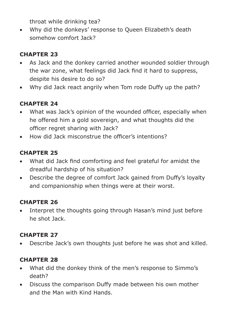throat while drinking tea?

• Why did the donkeys' response to Queen Elizabeth's death somehow comfort Jack?

# **CHAPTER 23**

- As Jack and the donkey carried another wounded soldier through the war zone, what feelings did Jack find it hard to suppress, despite his desire to do so?
- Why did Jack react angrily when Tom rode Duffy up the path?

## **CHAPTER 24**

- What was Jack's opinion of the wounded officer, especially when he offered him a gold sovereign, and what thoughts did the officer regret sharing with Jack?
- How did Jack misconstrue the officer's intentions?

## **CHAPTER 25**

- What did Jack find comforting and feel grateful for amidst the dreadful hardship of his situation?
- Describe the degree of comfort Jack gained from Duffy's loyalty and companionship when things were at their worst.

## **CHAPTER 26**

• Interpret the thoughts going through Hasan's mind just before he shot Jack.

## **CHAPTER 27**

• Describe Jack's own thoughts just before he was shot and killed.

- What did the donkey think of the men's response to Simmo's death?
- Discuss the comparison Duffy made between his own mother and the Man with Kind Hands.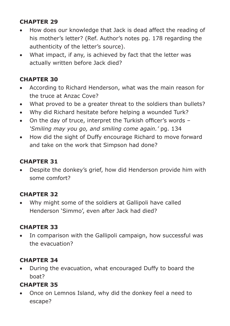- How does our knowledge that Jack is dead affect the reading of his mother's letter? (Ref. Author's notes pg. 178 regarding the authenticity of the letter's source).
- What impact, if any, is achieved by fact that the letter was actually written before Jack died?

## **CHAPTER 30**

- According to Richard Henderson, what was the main reason for the truce at Anzac Cove?
- What proved to be a greater threat to the soldiers than bullets?
- Why did Richard hesitate before helping a wounded Turk?
- On the day of truce, interpret the Turkish officer's words *'Smiling may you go, and smiling come again.'* pg. 134
- How did the sight of Duffy encourage Richard to move forward and take on the work that Simpson had done?

# **CHAPTER 31**

• Despite the donkey's grief, how did Henderson provide him with some comfort?

## **CHAPTER 32**

• Why might some of the soldiers at Gallipoli have called Henderson 'Simmo', even after Jack had died?

# **CHAPTER 33**

• In comparison with the Gallipoli campaign, how successful was the evacuation?

## **CHAPTER 34**

• During the evacuation, what encouraged Duffy to board the boat?

# **CHAPTER 35**

• Once on Lemnos Island, why did the donkey feel a need to escape?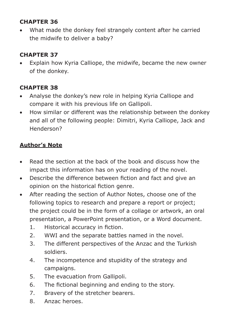What made the donkey feel strangely content after he carried the midwife to deliver a baby?

## **CHAPTER 37**

Explain how Kyria Calliope, the midwife, became the new owner of the donkey.

## **CHAPTER 38**

- Analyse the donkey's new role in helping Kyria Calliope and compare it with his previous life on Gallipoli.
- How similar or different was the relationship between the donkey and all of the following people: Dimitri, Kyria Calliope, Jack and Henderson?

## **Author's Note**

- Read the section at the back of the book and discuss how the impact this information has on your reading of the novel.
- Describe the difference between fiction and fact and give an opinion on the historical fiction genre.
- After reading the section of Author Notes, choose one of the following topics to research and prepare a report or project; the project could be in the form of a collage or artwork, an oral presentation, a PowerPoint presentation, or a Word document.
	- 1. Historical accuracy in fiction.
	- 2. WWI and the separate battles named in the novel.
	- 3. The different perspectives of the Anzac and the Turkish soldiers.
	- 4. The incompetence and stupidity of the strategy and campaigns.
	- 5. The evacuation from Gallipoli.
	- 6. The fictional beginning and ending to the story.
	- 7. Bravery of the stretcher bearers.
	- 8. Anzac heroes.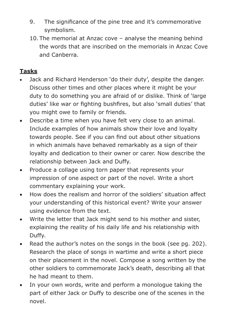- 9. The significance of the pine tree and it's commemorative symbolism.
- 10. The memorial at Anzac cove analyse the meaning behind the words that are inscribed on the memorials in Anzac Cove and Canberra.

#### **Tasks**

- Jack and Richard Henderson 'do their duty', despite the danger. Discuss other times and other places where it might be your duty to do something you are afraid of or dislike. Think of 'large duties' like war or fighting bushfires, but also 'small duties' that you might owe to family or friends.
- Describe a time when you have felt very close to an animal. Include examples of how animals show their love and loyalty towards people. See if you can find out about other situations in which animals have behaved remarkably as a sign of their loyalty and dedication to their owner or carer. Now describe the relationship between Jack and Duffy.
- Produce a collage using torn paper that represents your impression of one aspect or part of the novel. Write a short commentary explaining your work.
- How does the realism and horror of the soldiers' situation affect your understanding of this historical event? Write your answer using evidence from the text.
- Write the letter that Jack might send to his mother and sister, explaining the reality of his daily life and his relationship with Duffy.
- Read the author's notes on the songs in the book (see pg. 202). Research the place of songs in wartime and write a short piece on their placement in the novel. Compose a song written by the other soldiers to commemorate Jack's death, describing all that he had meant to them.
- In your own words, write and perform a monologue taking the part of either Jack or Duffy to describe one of the scenes in the novel.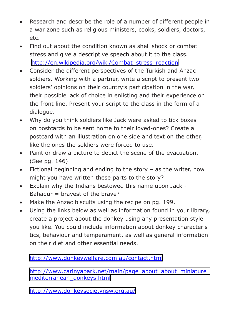- Research and describe the role of a number of different people in a war zone such as religious ministers, cooks, soldiers, doctors, etc.
- Find out about the condition known as shell shock or combat stress and give a descriptive speech about it to the class. [http://en.wikipedia.org/wiki/Combat\\_stress\\_reaction](http://en.wikipedia.org/wiki/Combat_stress_reaction)
- Consider the different perspectives of the Turkish and Anzac soldiers. Working with a partner, write a script to present two soldiers' opinions on their country's participation in the war, their possible lack of choice in enlisting and their experience on the front line. Present your script to the class in the form of a dialogue.
- Why do you think soldiers like Jack were asked to tick boxes on postcards to be sent home to their loved-ones? Create a postcard with an illustration on one side and text on the other, like the ones the soldiers were forced to use.
- Paint or draw a picture to depict the scene of the evacuation. (See pg. 146)
- Fictional beginning and ending to the story as the writer, how might you have written these parts to the story?
- Explain why the Indians bestowed this name upon Jack Bahadur  $=$  bravest of the brave?
- Make the Anzac biscuits using the recipe on pg. 199.
- Using the links below as well as information found in your library, create a project about the donkey using any presentation style you like. You could include information about donkey characteris tics, behaviour and temperament, as well as general information on their diet and other essential needs.

<http://www.donkeywelfare.com.au/contact.html>

http://www.carinyapark.net/main/page\_about\_about\_miniature [mediterranean\\_donkeys.html](http://www.carinyapark.net/main/page_about_about_miniature_mediterranean_donkeys.html)

<http://www.donkeysocietynsw.org.au/>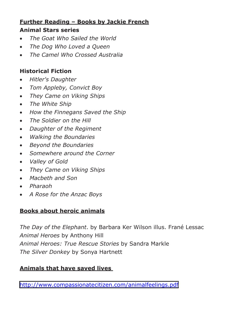# **Further Reading – Books by Jackie French**

#### **Animal Stars series**

- *The Goat Who Sailed the World*
- *The Dog Who Loved a Queen*
- *The Camel Who Crossed Australia*

## **Historical Fiction**

- *Hitler's Daughter*
- *Tom Appleby, Convict Boy*
- *They Came on Viking Ships*
- *The White Ship*
- *How the Finnegans Saved the Ship*
- *The Soldier on the Hill*
- *Daughter of the Regiment*
- *Walking the Boundaries*
- *Beyond the Boundaries*
- *Somewhere around the Corner*
- *Valley of Gold*
- *They Came on Viking Ships*
- *Macbeth and Son*
- *Pharaoh*
- *A Rose for the Anzac Boys*

# **Books about heroic animals**

*The Day of the Elephant*. by Barbara Ker Wilson illus. Frané Lessac *Animal Heroes* by Anthony Hill *Animal Heroes: True Rescue Stories* by Sandra Markle *The Silver Donkey* by Sonya Hartnett

## **Animals that have saved lives**

<http://www.compassionatecitizen.com/animalfeelings.pdf>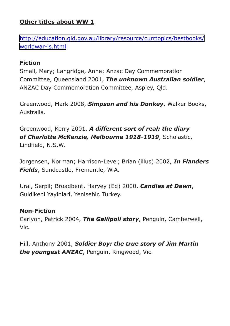#### **Other titles about WW 1**

[http://education.qld.gov.au/library/resource/currtopics/bestbooks/](http://education.qld.gov.au/library/resource/currtopics/bestbooks/worldwar-ls.html) [worldwar-ls.html](http://education.qld.gov.au/library/resource/currtopics/bestbooks/worldwar-ls.html)

#### **Fiction**

Small, Mary; Langridge, Anne; Anzac Day Commemoration Committee, Queensland 2001, *The unknown Australian soldier*, ANZAC Day Commemoration Committee, Aspley, Qld.

Greenwood, Mark 2008, *Simpson and his Donkey*, Walker Books, Australia.

Greenwood, Kerry 2001, *A different sort of real: the diary of Charlotte McKenzie, Melbourne 1918-1919*, Scholastic, Lindfield, N.S.W.

Jorgensen, Norman; Harrison-Lever, Brian (illus) 2002, *In Flanders Fields*, Sandcastle, Fremantle, W.A.

Ural, Serpil; Broadbent, Harvey (Ed) 2000, *Candles at Dawn*, Guldikeni Yayinlari, Yenisehir, Turkey.

#### **Non-Fiction**

Carlyon, Patrick 2004, *The Gallipoli story*, Penguin, Camberwell, Vic.

Hill, Anthony 2001, *Soldier Boy: the true story of Jim Martin the youngest ANZAC*, Penguin, Ringwood, Vic.